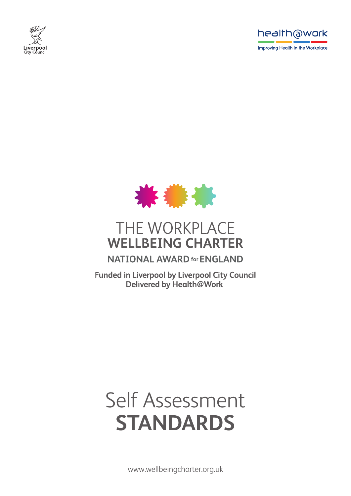





# THE WORKPLACE **WELLBEING CHARTER**

### **NATIONAL AWARD for ENGLAND**

**Funded in Liverpool by Liverpool City Council** Delivered by Health@Work

# Self Assessment **STANDARDS**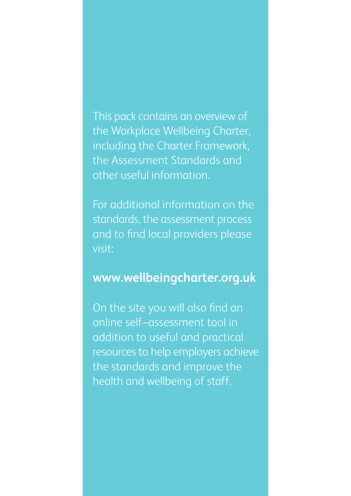This pack contains an overview of the Workplace Wellbeing Charter, including the Charter Framework, the Assessment Standards and other useful information.

For additional information on the standards, the assessment process and to find local providers please visit:

### **www.wellbeingcharter.org.uk**

On the site you will also find an online self–assessment tool in addition to useful and practical resources to help employers achieve the standards and improve the health and wellbeing of staff.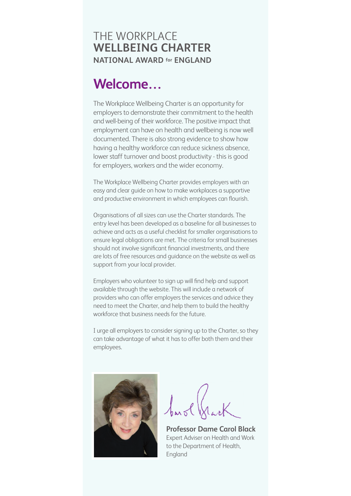### THE WORKPLACE **WELLBEING CHARTER NATIONAL AWARD for ENGLAND**

## **Welcome…**

The Workplace Wellbeing Charter is an opportunity for employers to demonstrate their commitment to the health and well-being of their workforce. The positive impact that employment can have on health and wellbeing is now well documented. There is also strong evidence to show how having a healthy workforce can reduce sickness absence, lower staff turnover and boost productivity - this is good for employers, workers and the wider economy.

The Workplace Wellbeing Charter provides employers with an easy and clear guide on how to make workplaces a supportive and productive environment in which employees can flourish.

Organisations of all sizes can use the Charter standards. The entry level has been developed as a baseline for all businesses to achieve and acts as a useful checklist for smaller organisations to ensure legal obligations are met. The criteria for small businesses should not involve significant financial investments, and there are lots of free resources and guidance on the website as well as support from your local provider.

Employers who volunteer to sign up will find help and support available through the website. This will include a network of providers who can offer employers the services and advice they need to meet the Charter, and help them to build the healthy workforce that business needs for the future.

I urge all employers to consider signing up to the Charter, so they can take advantage of what it has to offer both them and their employees.



**Professor Dame Carol Black** Expert Adviser on Health and Work to the Department of Health, England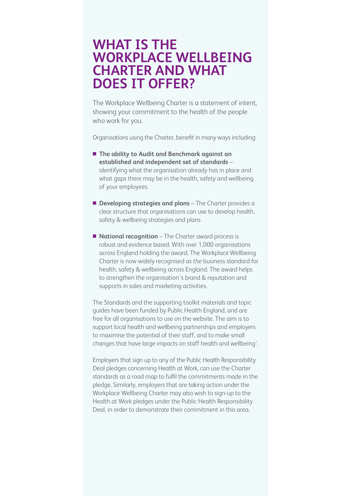## **WHAT IS THE WORKPLACE WELLBEING CHARTER AND WHAT DOES IT OFFER?**

The Workplace Wellbeing Charter is a statement of intent, showing your commitment to the health of the people who work for you.

Organisations using the Charter, benefit in many ways including:

- The ability to Audit and Benchmark against an **established and independent set of standards** – identifying what the organisation already has in place and what gaps there may be in the health, safety and wellbeing of your employees.
- **n Developing strategies and plans** The Charter provides a clear structure that organisations can use to develop health, safety & wellbeing strategies and plans
- **National recognition** The Charter award process is robust and evidence based. With over 1,000 organisations across England holding the award, The Workplace Wellbeing Charter is now widely recognised as *the* business standard for health, safety & wellbeing across England. The award helps to strengthen the organisation's brand & reputation and supports in sales and marketing activities.

The Standards and the supporting toolkit materials and topic guides have been funded by Public Health England, and are free for all organisations to use on the website. The aim is to support local health and wellbeing partnerships and employers to maximise the potential of their staff, and to make small changes that have large impacts on staff health and wellbeing'.

Employers that sign up to any of the Public Health Responsibility Deal pledges concerning Health at Work, can use the Charter standards as a road map to fulfil the commitments made in the pledge. Similarly, employers that are taking action under the Workplace Wellbeing Charter may also wish to sign-up to the Health at Work pledges under the Public Health Responsibility Deal, in order to demonstrate their commitment in this area.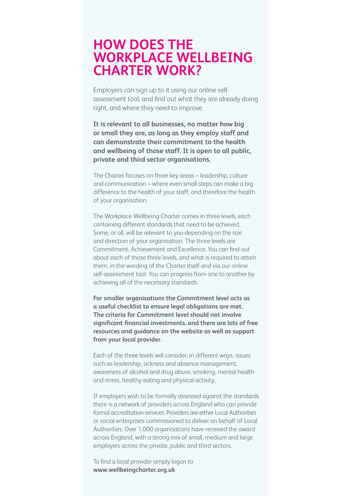## **HOW DOES THE WORKPLACE WELLBEING CHARTER WORK?**

Employers can sign up to it using our online selfassessment tool, and find out what they are already doing right, and where they need to improve.

**It is relevant to all businesses, no matter how big or small they are, as long as they employ staff and can demonstrate their commitment to the health and wellbeing of those staff. It is open to all public, private and third sector organisations.**

The Charter focuses on three key areas – leadership, culture and communication – where even small steps can make a big difference to the health of your staff, and therefore the health of your organisation.

The Workplace Wellbeing Charter comes in three levels, each containing different standards that need to be achieved. Some, or all, will be relevant to you depending on the size and direction of your organisation. The three levels are Commitment, Achievement and Excellence. You can find out about each of those three levels, and what is required to attain them, in the wording of the Charter itself and via our online self-assessment tool. You can progress from one to another by achieving all of the necessary standards.

**For smaller organisations the Commitment level acts as a useful checklist to ensure legal obligations are met. The criteria for Commitment level should not involve significant financial investments, and there are lots of free resources and guidance on the website as well as support from your local provider.**

Each of the three levels will consider, in different ways, issues such as leadership, sickness and absence management, awareness of alcohol and drug abuse, smoking, mental health and stress, healthy eating and physical activity.

If employers wish to be formally assessed against the standards there is a network of providers across England who can provide formal accreditation services. Providers are either Local Authorities or social enterprises commissioned to deliver on behalf of Local Authorities. Over 1,000 organisations have received the award across England, with a strong mix of small, medium and large employers across the private, public and third sectors.

To find a local provider simply logon to **www.wellbeingcharter.org.uk**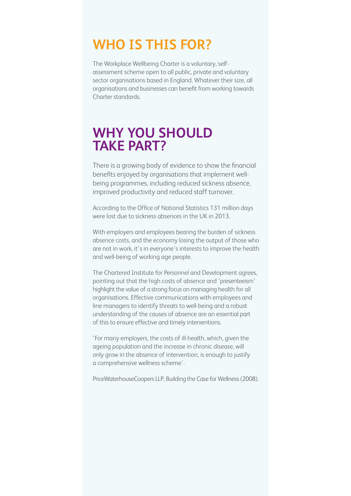## **WHO IS THIS FOR?**

The Workplace Wellbeing Charter is a voluntary, selfassessment scheme open to all public, private and voluntary sector organisations based in England. Whatever their size, all organisations and businesses can benefit from working towards Charter standards.

## **WHY YOU SHOULD TAKE PART?**

There is a growing body of evidence to show the financial benefits enjoyed by organisations that implement wellbeing programmes, including reduced sickness absence, improved productivity and reduced staff turnover.

According to the Office of National Statistics 131 million days were lost due to sickness absences in the UK in 2013.

With employers and employees bearing the burden of sickness absence costs, and the economy losing the output of those who are not in work, it's in everyone's interests to improve the health and well-being of working age people.

The Chartered Institute for Personnel and Development agrees, pointing out that the high costs of absence and 'presenteeism' highlight the value of a strong focus on managing health for all organisations. Effective communications with employees and line managers to identify threats to well-being and a robust understanding of the causes of absence are an essential part of this to ensure effective and timely interventions.

'For many employers, the costs of ill-health, which, given the ageing population and the increase in chronic disease, will only grow in the absence of intervention, is enough to justify a comprehensive wellness scheme'.

PriceWaterhouseCoopers LLP, Building the Case for Wellness (2008).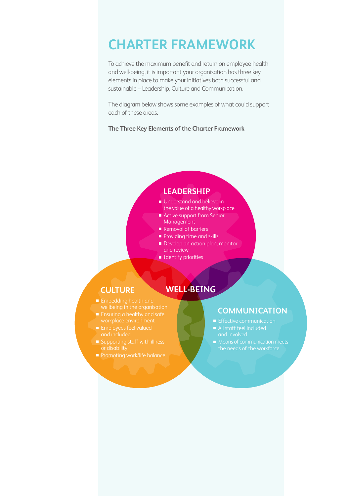## **CHARTER FRAMEWORK**

To achieve the maximum benefit and return on employee health and well-being, it is important your organisation has three key elements in place to make your initiatives both successful and sustainable – Leadership, Culture and Communication.

The diagram below shows some examples of what could support each of these areas.

**The Three Key Elements of the Charter Framework**

#### **LEADERSHIP**

- **Understand and believe in**
- the value of a healthy workplace
- Active support from Senior Management
- Removal of barriers
- $\blacksquare$  Providing time and skills
- Develop an action plan, monitor

**WELL-BEING**

- and review
- $\blacksquare$  Identify priorities

#### **CULTURE**

- $\blacksquare$  Embedding health and
- 
- 
- 
- **n** Promoting work/life balance

#### **COMMUNICATION**

- $\blacksquare$  Effective communication
	-
- the needs of the workforce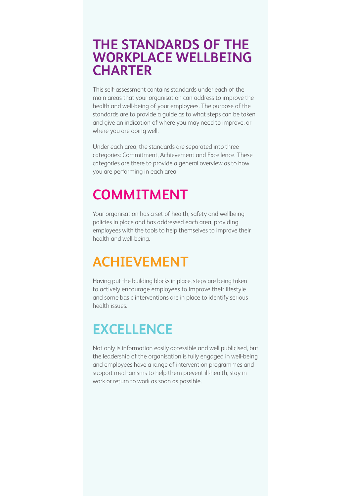### **THE STANDARDS OF THE WORKPLACE WELLBEING CHARTER**

This self-assessment contains standards under each of the main areas that your organisation can address to improve the health and well-being of your employees. The purpose of the standards are to provide a guide as to what steps can be taken and give an indication of where you may need to improve, or where you are doing well.

Under each area, the standards are separated into three categories: Commitment, Achievement and Excellence. These categories are there to provide a general overview as to how you are performing in each area.

## **COMMITMENT**

Your organisation has a set of health, safety and wellbeing policies in place and has addressed each area, providing employees with the tools to help themselves to improve their health and well-being.

# **ACHIEVEMENT**

Having put the building blocks in place, steps are being taken to actively encourage employees to improve their lifestyle and some basic interventions are in place to identify serious health issues.

## **EXCELLENCE**

Not only is information easily accessible and well publicised, but the leadership of the organisation is fully engaged in well-being and employees have a range of intervention programmes and support mechanisms to help them prevent ill-health, stay in work or return to work as soon as possible.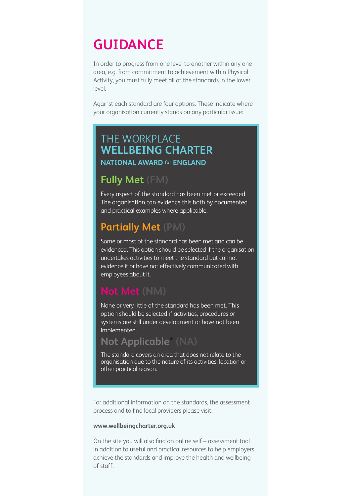## **GUIDANCE**

In order to progress from one level to another within any one area, e.g. from commitment to achievement within Physical Activity, you must fully meet all of the standards in the lower level.

Against each standard are four options. These indicate where your organisation currently stands on any particular issue:

#### THE WORKPLACE **WELLBEING CHARTER NATIONAL AWARD for ENGLAND**

### **Fully Met (FM)**

Every aspect of the standard has been met or exceeded. The organisation can evidence this both by documented and practical examples where applicable.

### **Partially Met (PM)**

Some or most of the standard has been met and can be evidenced. This option should be selected if the organisation undertakes activities to meet the standard but cannot evidence it or have not effectively communicated with employees about it.

### **Not Met (NM)**

None or very little of the standard has been met. This option should be selected if activities, procedures or systems are still under development or have not been implemented.

### **Not Applicable\* (NA)**

The standard covers an area that does not relate to the organisation due to the nature of its activities, location or other practical reason.

For additional information on the standards, the assessment process and to find local providers please visit:

#### **www.wellbeingcharter.org.uk**

On the site you will also find an online self – assessment tool in addition to useful and practical resources to help employers achieve the standards and improve the health and wellbeing of staff.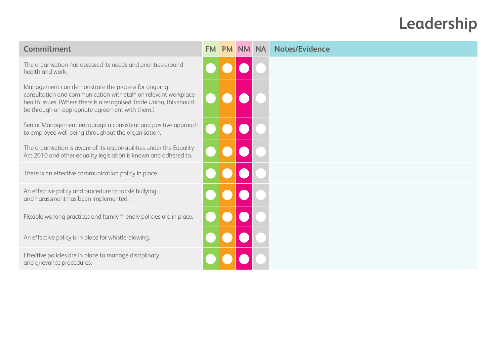# **Leadership**

| Commitment                                                                                                                                                                                                                                       | <b>FM</b> | <b>PM</b> | <b>NM</b> | <b>NA</b> | <b>Notes/Evidence</b> |
|--------------------------------------------------------------------------------------------------------------------------------------------------------------------------------------------------------------------------------------------------|-----------|-----------|-----------|-----------|-----------------------|
| The organisation has assessed its needs and priorities around<br>health and work.                                                                                                                                                                |           |           |           |           |                       |
| Management can demonstrate the process for ongoing<br>consultation and communication with staff on relevant workplace<br>health issues. (Where there is a recognised Trade Union, this should<br>be through an appropriate agreement with them.) |           |           |           |           |                       |
| Senior Management encourage a consistent and positive approach<br>to employee well-being throughout the organisation.                                                                                                                            |           |           |           |           |                       |
| The organisation is aware of its responsibilities under the Equality<br>Act 2010 and other equality legislation is known and adhered to.                                                                                                         |           |           |           |           |                       |
| There is an effective communication policy in place.                                                                                                                                                                                             |           |           |           |           |                       |
| An effective policy and procedure to tackle bullying<br>and harassment has been implemented.                                                                                                                                                     |           |           |           |           |                       |
| Flexible working practices and family friendly policies are in place.                                                                                                                                                                            |           |           |           |           |                       |
| An effective policy is in place for whistle-blowing.                                                                                                                                                                                             |           |           |           |           |                       |
| Effective policies are in place to manage disciplinary<br>and grievance procedures.                                                                                                                                                              |           |           |           |           |                       |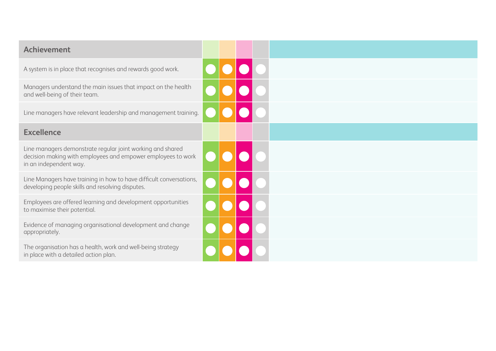| <b>Achievement</b>                                                                                                                                   |  |  |  |
|------------------------------------------------------------------------------------------------------------------------------------------------------|--|--|--|
| A system is in place that recognises and rewards good work.                                                                                          |  |  |  |
| Managers understand the main issues that impact on the health<br>and well-being of their team.                                                       |  |  |  |
| Line managers have relevant leadership and management training.                                                                                      |  |  |  |
| <b>Excellence</b>                                                                                                                                    |  |  |  |
| Line managers demonstrate regular joint working and shared<br>decision making with employees and empower employees to work<br>in an independent way. |  |  |  |
| Line Managers have training in how to have difficult conversations,<br>developing people skills and resolving disputes.                              |  |  |  |
| Employees are offered learning and development opportunities<br>to maximise their potential.                                                         |  |  |  |
| Evidence of managing organisational development and change<br>appropriately.                                                                         |  |  |  |
| The organisation has a health, work and well-being strategy<br>in place with a detailed action plan.                                                 |  |  |  |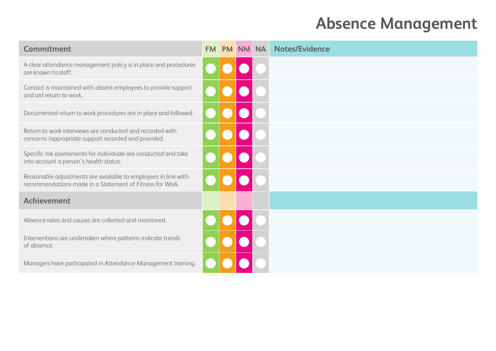# **Absence Management**

| Commitment                                                                                                                 | <b>FM</b> | <b>PM</b> | <b>NM</b> | <b>NA</b> | <b>Notes/Evidence</b> |
|----------------------------------------------------------------------------------------------------------------------------|-----------|-----------|-----------|-----------|-----------------------|
| A clear attendance management policy is in place and procedures<br>are known to staff.                                     |           |           |           |           |                       |
| Contact is maintained with absent employees to provide support<br>and aid return to work.                                  |           |           |           |           |                       |
| Documented return to work procedures are in place and followed.                                                            |           |           |           |           |                       |
| Return to work interviews are conducted and recorded with<br>concerns /appropriate support recorded and provided.          |           |           |           |           |                       |
| Specific risk assessments for individuals are conducted and take<br>into account a person's health status.                 |           |           |           |           |                       |
| Reasonable adjustments are available to employees in line with<br>recommendations made in a Statement of Fitness for Work. |           |           |           |           |                       |
| <b>Achievement</b>                                                                                                         |           |           |           |           |                       |
| Absence rates and causes are collected and monitored.                                                                      |           |           |           |           |                       |
| Interventions are undertaken where patterns indicate trends<br>of absence.                                                 |           |           |           |           |                       |
| Managers have participated in Attendance Management training.                                                              |           |           |           |           |                       |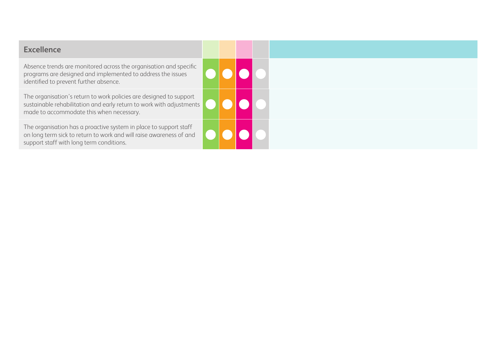| <b>Excellence</b>                                                                                                                                                                      |  |  |  |
|----------------------------------------------------------------------------------------------------------------------------------------------------------------------------------------|--|--|--|
| Absence trends are monitored across the organisation and specific<br>programs are designed and implemented to address the issues<br>identified to prevent further absence.             |  |  |  |
| The organisation's return to work policies are designed to support<br>sustainable rehabilitation and early return to work with adjustments<br>made to accommodate this when necessary. |  |  |  |
| The organisation has a proactive system in place to support staff<br>on long term sick to return to work and will raise awareness of and<br>support staff with long term conditions.   |  |  |  |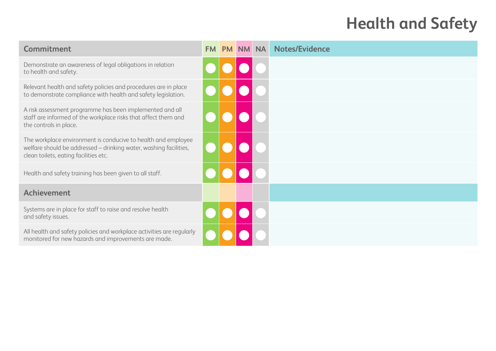# **Health and Safety**

| Commitment                                                                                                                                                                  | <b>FM</b> | <b>PM</b> | <b>NM</b> | <b>NA</b> | <b>Notes/Evidence</b> |
|-----------------------------------------------------------------------------------------------------------------------------------------------------------------------------|-----------|-----------|-----------|-----------|-----------------------|
| Demonstrate an awareness of legal obligations in relation<br>to health and safety.                                                                                          |           |           |           |           |                       |
| Relevant health and safety policies and procedures are in place<br>to demonstrate compliance with health and safety legislation.                                            |           |           |           |           |                       |
| A risk assessment programme has been implemented and all<br>staff are informed of the workplace risks that affect them and<br>the controls in place.                        |           |           |           |           |                       |
| The workplace environment is conducive to health and employee<br>welfare should be addressed - drinking water, washing facilities,<br>clean toilets, eating facilities etc. |           |           |           |           |                       |
| Health and safety training has been given to all staff.                                                                                                                     |           |           |           |           |                       |
| <b>Achievement</b>                                                                                                                                                          |           |           |           |           |                       |
| Systems are in place for staff to raise and resolve health<br>and safety issues.                                                                                            |           |           |           |           |                       |
| All health and safety policies and workplace activities are regularly<br>monitored for new hazards and improvements are made.                                               |           |           |           |           |                       |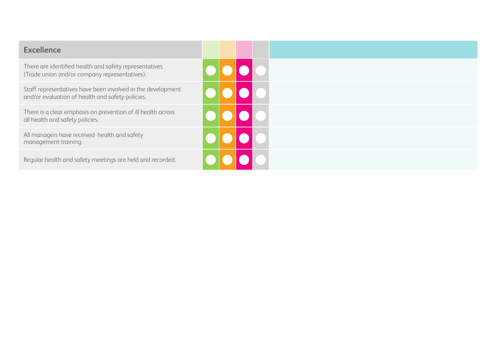| <b>Excellence</b>                                                                                               |  |  |  |
|-----------------------------------------------------------------------------------------------------------------|--|--|--|
| There are identified health and safety representatives<br>(Trade union and/or company representatives).         |  |  |  |
| Staff representatives have been involved in the development<br>and/or evaluation of health and safety policies. |  |  |  |
| There is a clear emphasis on prevention of ill health across<br>all health and safety policies.                 |  |  |  |
| All managers have received health and safety<br>management training.                                            |  |  |  |
| Regular health and safety meetings are held and recorded.                                                       |  |  |  |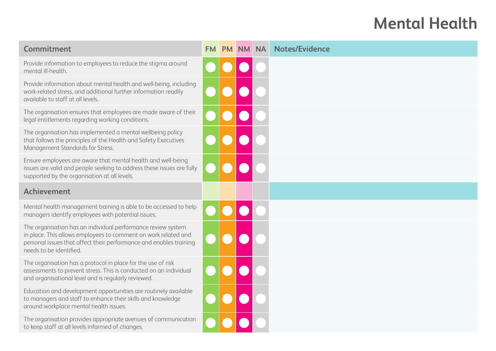# **Mental Health**

| Commitment                                                                                                                                                                                                                      | <b>FM</b> | <b>PM</b> | <b>NM</b> | <b>NA</b> | <b>Notes/Evidence</b> |
|---------------------------------------------------------------------------------------------------------------------------------------------------------------------------------------------------------------------------------|-----------|-----------|-----------|-----------|-----------------------|
| Provide information to employees to reduce the stigma around<br>mental ill-health.                                                                                                                                              |           |           |           |           |                       |
| Provide information about mental health and well-being, including<br>work-related stress, and additional further information readily<br>available to staff at all levels.                                                       |           |           |           |           |                       |
| The organisation ensures that employees are made aware of their<br>legal entitlements regarding working conditions.                                                                                                             |           |           |           |           |                       |
| The organisation has implemented a mental wellbeing policy<br>that follows the principles of the Health and Safety Executives<br>Management Standards for Stress.                                                               |           |           |           |           |                       |
| Ensure employees are aware that mental health and well-being<br>issues are valid and people seeking to address these issues are fully<br>supported by the organisation at all levels.                                           |           |           |           |           |                       |
| <b>Achievement</b>                                                                                                                                                                                                              |           |           |           |           |                       |
| Mental health management training is able to be accessed to help<br>managers identify employees with potential issues.                                                                                                          |           |           |           |           |                       |
| The organisation has an individual performance review system<br>in place. This allows employees to comment on work related and<br>personal issues that affect their performance and enables training<br>needs to be identified. |           |           |           |           |                       |
| The organisation has a protocol in place for the use of risk<br>assessments to prevent stress. This is conducted on an individual<br>and organisational level and is regularly reviewed.                                        |           |           |           |           |                       |
| Education and development opportunities are routinely available<br>to managers and staff to enhance their skills and knowledge<br>around workplace mental health issues.                                                        |           |           |           |           |                       |
| The organisation provides appropriate avenues of communication<br>to keep staff at all levels informed of changes.                                                                                                              |           |           |           |           |                       |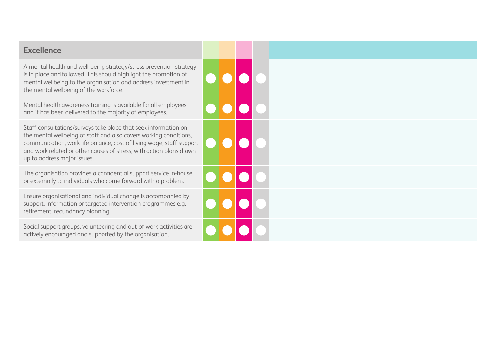#### **Excellence**

A mental health and well-being strategy/stress prevention strategy is in place and followed. This should highlight the promotion of mental wellbeing to the organisation and address investment in the mental wellbeing of the workforce.

Mental health awareness training is available for all employees and it has been delivered to the majority of employees.

Staff consultations/surveys take place that seek information on the mental wellbeing of staff and also covers working conditions, communication, work life balance, cost of living wage, staff support and work related or other causes of stress, with action plans drawn up to address major issues.

The organisation provides a confidential support service in-house or externally to individuals who come forward with a problem.

Ensure organisational and individual change is accompanied by support, information or targeted intervention programmes e.g. retirement, redundancy planning.

Social support groups, volunteering and out-of-work activities are actively encouraged and supported by the organisation.

| $\bullet$ | $\bullet \bullet \bullet$ |                                                                    |          |  |
|-----------|---------------------------|--------------------------------------------------------------------|----------|--|
|           |                           | $\bullet$ $\bullet$                                                |          |  |
|           | 000                       |                                                                    | $\Gamma$ |  |
|           | 000                       |                                                                    |          |  |
|           |                           | $\begin{array}{ c c c }\hline \textbf{O} & \textbf{O} \end{array}$ |          |  |
|           |                           |                                                                    |          |  |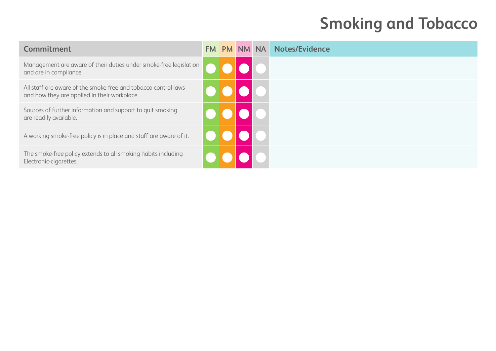# **Smoking and Tobacco**

| Commitment                                                                                                     | <b>FM</b> | PM NM NA | <b>Notes/Evidence</b> |
|----------------------------------------------------------------------------------------------------------------|-----------|----------|-----------------------|
| Management are aware of their duties under smoke-free legislation<br>and are in compliance.                    |           |          |                       |
| All staff are aware of the smoke-free and tobacco control laws<br>and how they are applied in their workplace. |           |          |                       |
| Sources of further information and support to quit smoking<br>are readily available.                           |           |          |                       |
| A working smoke-free policy is in place and staff are aware of it.                                             |           |          |                       |
| The smoke-free policy extends to all smoking habits including<br>Electronic-cigarettes.                        |           |          |                       |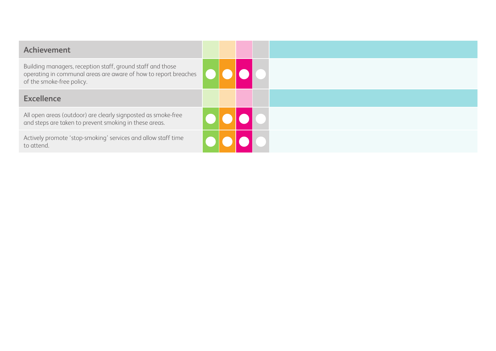| <b>Achievement</b>                                                                                                                                         |  |  |  |
|------------------------------------------------------------------------------------------------------------------------------------------------------------|--|--|--|
| Building managers, reception staff, ground staff and those<br>operating in communal areas are aware of how to report breaches<br>of the smoke-free policy. |  |  |  |
| <b>Excellence</b>                                                                                                                                          |  |  |  |
| All open areas (outdoor) are clearly signposted as smoke-free<br>and steps are taken to prevent smoking in these areas.                                    |  |  |  |
| Actively promote 'stop-smoking' services and allow staff time<br>to attend.                                                                                |  |  |  |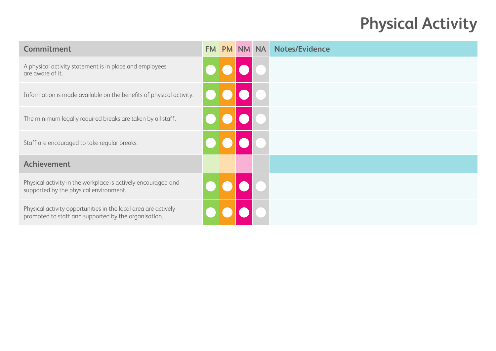# **Physical Activity**

| Commitment                                                                                                             | <b>FM</b> | PM NM NA | <b>Notes/Evidence</b> |
|------------------------------------------------------------------------------------------------------------------------|-----------|----------|-----------------------|
| A physical activity statement is in place and employees<br>are aware of it.                                            |           |          |                       |
| Information is made available on the benefits of physical activity.                                                    |           |          |                       |
| The minimum legally required breaks are taken by all staff.                                                            |           |          |                       |
| Staff are encouraged to take regular breaks.                                                                           |           |          |                       |
| <b>Achievement</b>                                                                                                     |           |          |                       |
| Physical activity in the workplace is actively encouraged and<br>supported by the physical environment.                |           |          |                       |
| Physical activity opportunities in the local area are actively<br>promoted to staff and supported by the organisation. |           |          |                       |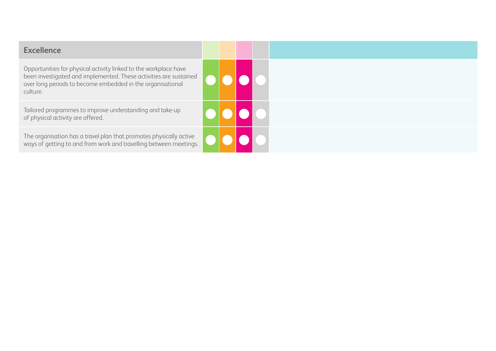Opportunities for physical activity linked to the workplace have been investigated and implemented. These activities are sustained over long periods to become embedded in the organisational culture.

Tailored programmes to improve understanding and take-up  $\left\lvert \text{ } \right\rvert$   $\left\lvert \text{ } \right\rvert$   $\left\lvert \text{ } \right\rvert$   $\left\lvert \text{ } \right\rvert$   $\left\lvert \text{ } \right\rvert$   $\left\lvert \text{ } \right\rvert$   $\left\lvert \text{ } \right\rvert$   $\left\lvert \text{ } \right\rvert$   $\left\lvert \text{ } \right\rvert$   $\left\lvert \text{ } \right\rvert$   $\left\l$ 

The organisation has a travel plan that promotes physically active ways of getting to and from work and travelling between meetings.

| OOOO                                      |  |  |
|-------------------------------------------|--|--|
| 0000                                      |  |  |
| $  \bullet   \bullet   \bullet   \bullet$ |  |  |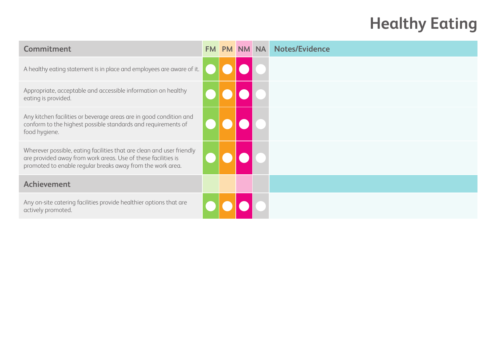# **Healthy Eating**

| Commitment                                                                                                                                                                                           | <b>FM</b> | <b>PM</b> | NM- | <b>NA</b> | <b>Notes/Evidence</b> |
|------------------------------------------------------------------------------------------------------------------------------------------------------------------------------------------------------|-----------|-----------|-----|-----------|-----------------------|
| A healthy eating statement is in place and employees are aware of it.                                                                                                                                |           |           |     |           |                       |
| Appropriate, acceptable and accessible information on healthy<br>eating is provided.                                                                                                                 |           |           |     |           |                       |
| Any kitchen facilities or beverage areas are in good condition and<br>conform to the highest possible standards and requirements of<br>food hygiene.                                                 |           |           |     |           |                       |
| Wherever possible, eating facilities that are clean and user friendly<br>are provided away from work areas. Use of these facilities is<br>promoted to enable regular breaks away from the work area. |           |           |     |           |                       |
| Achievement                                                                                                                                                                                          |           |           |     |           |                       |
| Any on-site catering facilities provide healthier options that are<br>actively promoted.                                                                                                             |           |           |     |           |                       |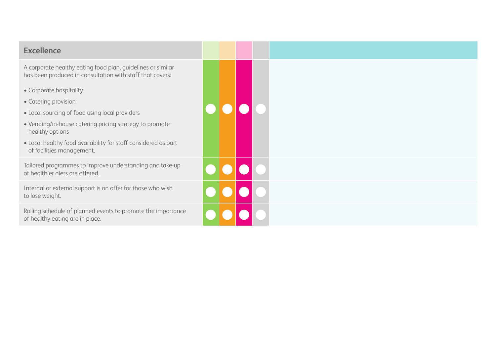#### **Excellence**

A corporate healthy eating food plan, guidelines or similar has been produced in consultation with staff that covers:

- Corporate hospitality
- Catering provision
- Local sourcing of food using local providers
- Vending/in-house catering pricing strategy to promote healthy options
- Local healthy food availability for staff considered as part of facilities management.

Tailored programmes to improve understanding and take-up<br>of healthier diets are offered. of healthier diets are offered.

Internal or external support is on offer for those who wish to lose weight. l l l l

Rolling schedule of planned events to promote the importance and a local contract of healthy eating are in place.

|     |                             |                                        | $\bullet\bullet\bullet\bullet$ |  |  |  |
|-----|-----------------------------|----------------------------------------|--------------------------------|--|--|--|
|     |                             |                                        |                                |  |  |  |
|     |                             |                                        | 900                            |  |  |  |
| Ice | $\textcolor{red}{\bigodot}$ | $\begin{pmatrix} 1 \\ 1 \end{pmatrix}$ |                                |  |  |  |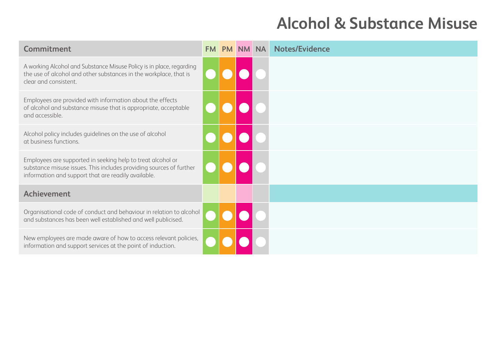# **Alcohol & Substance Misuse**

| Commitment                                                                                                                                                                                | <b>FM</b> | <b>PM</b> | <b>NM</b> | <b>NA</b> | <b>Notes/Evidence</b> |
|-------------------------------------------------------------------------------------------------------------------------------------------------------------------------------------------|-----------|-----------|-----------|-----------|-----------------------|
| A working Alcohol and Substance Misuse Policy is in place, regarding<br>the use of alcohol and other substances in the workplace, that is<br>clear and consistent.                        |           |           |           |           |                       |
| Employees are provided with information about the effects<br>of alcohol and substance misuse that is appropriate, acceptable<br>and accessible.                                           |           |           |           |           |                       |
| Alcohol policy includes guidelines on the use of alcohol<br>at business functions.                                                                                                        |           |           |           |           |                       |
| Employees are supported in seeking help to treat alcohol or<br>substance misuse issues. This includes providing sources of further<br>information and support that are readily available. |           |           |           |           |                       |
| <b>Achievement</b>                                                                                                                                                                        |           |           |           |           |                       |
| Organisational code of conduct and behaviour in relation to alcohol<br>and substances has been well established and well publicised.                                                      |           |           |           |           |                       |
| New employees are made aware of how to access relevant policies,<br>information and support services at the point of induction.                                                           |           |           |           |           |                       |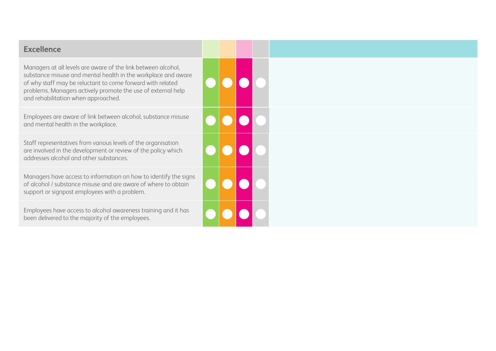#### **Excellence**

Managers at all levels are aware of the link between alcohol, substance misuse and mental health in the workplace and aware of why staff may be reluctant to come forward with related problems. Managers actively promote the use of external help and rehabilitation when approached.

Employees are aware of link between alcohol, substance misuse and mental health in the workplace.

Staff representatives from various levels of the organisation are involved in the development or review of the policy which addresses alcohol and other substances.

Managers have access to information on how to identify the signs of alcohol / substance misuse and are aware of where to obtain support or signpost employees with a problem.

Employees have access to alcohol awareness training and it has been delivered to the majority of the employees.

|            | $\bullet\bullet\bullet\bullet$                                                      |  |
|------------|-------------------------------------------------------------------------------------|--|
|            | $\bullet\bullet\bullet\bullet$                                                      |  |
| $\bigodot$ | pod                                                                                 |  |
|            | $\begin{array}{ c c c c c }\hline \textbf{O} & \textbf{O} & \textbf{O} \end{array}$ |  |
|            | 0000                                                                                |  |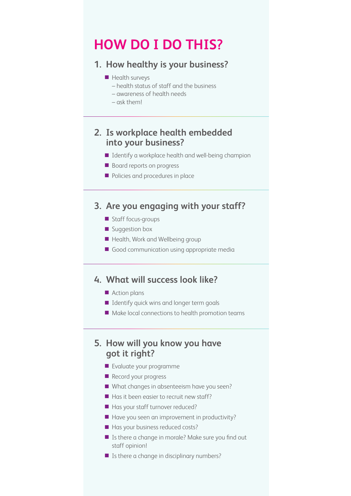## **HOW DO I DO THIS?**

#### **1. How healthy is your business?**

- $\blacksquare$  Health surveys
	- health status of staff and the business
	- awareness of health needs
	- ask them!

#### **2. Is workplace health embedded into your business?**

- $\blacksquare$  Identify a workplace health and well-being champion
- Board reports on progress
- **n** Policies and procedures in place

#### **3. Are you engaging with your staff?**

- Staff focus-groups
- **n** Suggestion box
- Health, Work and Wellbeing group
- $\Box$  Good communication using appropriate media

#### **4. What will success look like?**

- **n** Action plans
- $\blacksquare$  Identify quick wins and longer term goals
- $\blacksquare$  Make local connections to health promotion teams

#### **5. How will you know you have got it right?**

- $\blacksquare$  Evaluate your programme
- Record your progress
- $\blacksquare$  What changes in absenteeism have you seen?
- $\blacksquare$  Has it been easier to recruit new staff?
- $\blacksquare$  Has your staff turnover reduced?
- $\blacksquare$  Have you seen an improvement in productivity?
- $\blacksquare$  Has your business reduced costs?
- $\blacksquare$  Is there a change in morale? Make sure you find out staff opinion!
- $\blacksquare$  Is there a change in disciplinary numbers?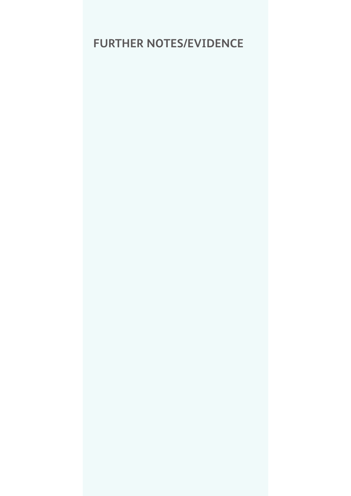## **FURTHER NOTES/EVIDENCE**